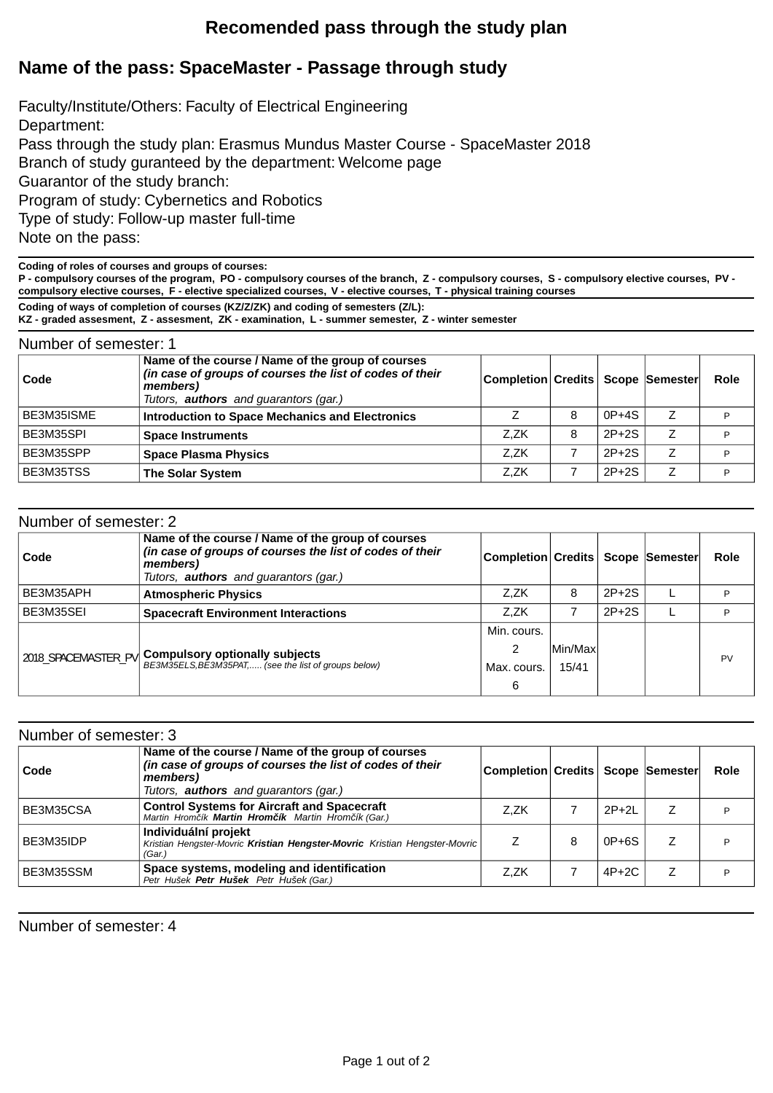## **Recomended pass through the study plan**

## **Name of the pass: SpaceMaster - Passage through study**

Faculty/Institute/Others: Faculty of Electrical Engineering Department: Pass through the study plan: Erasmus Mundus Master Course - SpaceMaster 2018 Branch of study guranteed by the department: Welcome page Guarantor of the study branch: Program of study: Cybernetics and Robotics Type of study: Follow-up master full-time Note on the pass:

**Coding of roles of courses and groups of courses:**

**P - compulsory courses of the program, PO - compulsory courses of the branch, Z - compulsory courses, S - compulsory elective courses, PV compulsory elective courses, F - elective specialized courses, V - elective courses, T - physical training courses**

**Coding of ways of completion of courses (KZ/Z/ZK) and coding of semesters (Z/L):**

**KZ - graded assesment, Z - assesment, ZK - examination, L - summer semester, Z - winter semester**

| Number of semester: 1 |                                                                                                                                                                           |                                     |   |         |   |      |
|-----------------------|---------------------------------------------------------------------------------------------------------------------------------------------------------------------------|-------------------------------------|---|---------|---|------|
| Code                  | Name of the course / Name of the group of courses<br>(in case of groups of courses the list of codes of their<br>members)<br>Tutors, <b>authors</b> and guarantors (gar.) | Completion Credits   Scope Semester |   |         |   | Role |
| BE3M35ISME            | <b>Introduction to Space Mechanics and Electronics</b>                                                                                                                    |                                     | 8 | $0P+4S$ | Z | P    |
| BE3M35SPI             | <b>Space Instruments</b>                                                                                                                                                  | Z.ZK                                | 8 | $2P+2S$ | Z | D    |
| BE3M35SPP             | <b>Space Plasma Physics</b>                                                                                                                                               | Z.ZK                                |   | $2P+2S$ | 7 | P    |
| BE3M35TSS             | <b>The Solar System</b>                                                                                                                                                   | Z.ZK                                |   | $2P+2S$ |   | P    |

| Number of semester: 2 |                                                                                                                                                                           |                                       |                   |         |             |
|-----------------------|---------------------------------------------------------------------------------------------------------------------------------------------------------------------------|---------------------------------------|-------------------|---------|-------------|
| Code                  | Name of the course / Name of the group of courses<br>(in case of groups of courses the list of codes of their<br>members)<br>Tutors, <b>authors</b> and guarantors (gar.) | Completion Credits   Scope   Semester |                   |         | <b>Role</b> |
| BE3M35APH             | <b>Atmospheric Physics</b>                                                                                                                                                | Z.ZK                                  | 8                 | $2P+2S$ | P           |
| BE3M35SEI             | <b>Spacecraft Environment Interactions</b>                                                                                                                                | Z.ZK                                  |                   | $2P+2S$ |             |
| 2018 SPACEMASTER PV   | <b>Compulsory optionally subjects</b><br>BE3M35ELS, BE3M35PAT, (see the list of groups below)                                                                             | Min. cours.<br>າ<br>Max. cours.<br>6  | Min/Maxl<br>15/41 |         | PV          |

| Number of semester: 3 |                                                                                                                           |      |   |         |                                       |      |
|-----------------------|---------------------------------------------------------------------------------------------------------------------------|------|---|---------|---------------------------------------|------|
| Code                  | Name of the course / Name of the group of courses<br>(in case of groups of courses the list of codes of their<br>members) |      |   |         | Completion Credits   Scope   Semester | Role |
|                       | Tutors, <b>authors</b> and guarantors (gar.)                                                                              |      |   |         |                                       |      |
| BE3M35CSA             | <b>Control Systems for Aircraft and Spacecraft</b><br>Martin Hrom ik Martin Hrom ik Martin Hrom ik (Gar.)                 | Z.ZK |   | $2P+2L$ | Z                                     | Þ    |
| BE3M35IDP             | Individuální projekt<br>Kristian Hengster-Movric Kristian Hengster-Movric Kristian Hengster-Movric<br>(Gar.)              |      | 8 | $0P+6S$ |                                       | Þ    |
| BE3M35SSM             | Space systems, modeling and identification<br>Petr Hušek Petr Hušek Petr Hušek (Gar.)                                     | Z.ZK |   | $4P+2C$ | Z                                     | D    |

Number of semester: 4